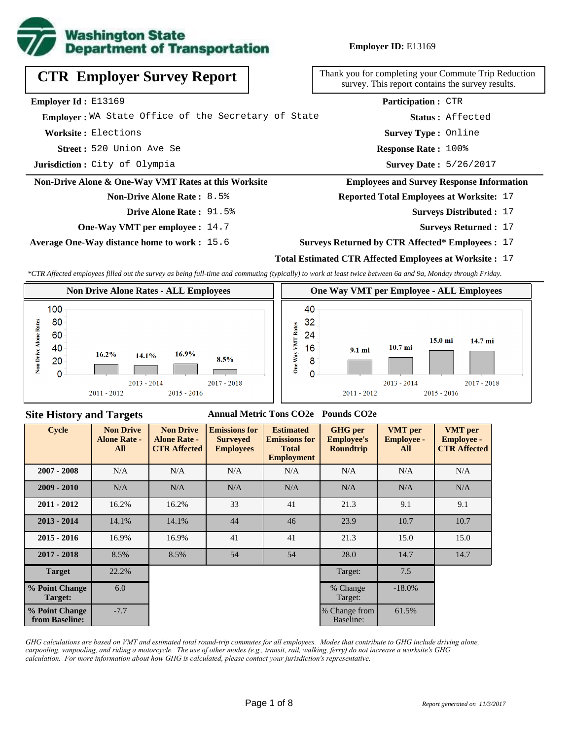

**Employer ID:** E13169

| <b>CTR Employer Survey Report</b>                    | Thank you for completing your Commute Trip Reduction<br>survey. This report contains the survey results. |  |  |  |
|------------------------------------------------------|----------------------------------------------------------------------------------------------------------|--|--|--|
| Employer Id: E13169                                  | Participation: CTR                                                                                       |  |  |  |
| Emplover: WA State Office of the Secretary of State  | Status: Affected                                                                                         |  |  |  |
| Worksite: Elections                                  | <b>Survey Type: Online</b>                                                                               |  |  |  |
| Street: 520 Union Ave Se                             | <b>Response Rate: 100%</b>                                                                               |  |  |  |
| Jurisdiction: City of Olympia                        | Survey Date: 5/26/2017                                                                                   |  |  |  |
| Non-Drive Alone & One-Way VMT Rates at this Worksite | <b>Employees and Survey Response Information</b>                                                         |  |  |  |
| <b>Non-Drive Alone Rate: 8.5%</b>                    | <b>Reported Total Employees at Worksite: 17</b>                                                          |  |  |  |
| <b>Drive Alone Rate: 91.5%</b>                       | <b>Surveys Distributed : 17</b>                                                                          |  |  |  |
| <b>One-Way VMT per employee : 14.7</b>               | <b>Surveys Returned: 17</b>                                                                              |  |  |  |

**Average One-Way distance home to work :** 15.6

#### **Surveys Returned by CTR Affected\* Employees :** 17

#### **Total Estimated CTR Affected Employees at Worksite :** 17

*\*CTR Affected employees filled out the survey as being full-time and commuting (typically) to work at least twice between 6a and 9a, Monday through Friday.*



### **Site History and Targets**

#### **Annual Metric Tons CO2e Pounds CO2e**

| <b>Cycle</b>                     | <b>Non Drive</b><br><b>Alone Rate -</b><br>All | <b>Non Drive</b><br><b>Alone Rate -</b><br><b>CTR Affected</b> | <b>Emissions for</b><br><b>Surveyed</b><br><b>Employees</b> | <b>Estimated</b><br><b>Emissions for</b><br><b>Total</b><br><b>Employment</b> | <b>GHG</b> per<br><b>Employee's</b><br><b>Roundtrip</b> | <b>VMT</b> per<br><b>Employee -</b><br>All | <b>VMT</b> per<br><b>Employee -</b><br><b>CTR Affected</b> |
|----------------------------------|------------------------------------------------|----------------------------------------------------------------|-------------------------------------------------------------|-------------------------------------------------------------------------------|---------------------------------------------------------|--------------------------------------------|------------------------------------------------------------|
| $2007 - 2008$                    | N/A                                            | N/A                                                            | N/A                                                         | N/A                                                                           | N/A                                                     | N/A                                        | N/A                                                        |
| $2009 - 2010$                    | N/A                                            | N/A                                                            | N/A                                                         | N/A                                                                           | N/A                                                     | N/A                                        | N/A                                                        |
| $2011 - 2012$                    | 16.2%                                          | 16.2%                                                          | 33                                                          | 41                                                                            | 21.3                                                    | 9.1                                        | 9.1                                                        |
| $2013 - 2014$                    | 14.1%                                          | 14.1%                                                          | 44                                                          | 46                                                                            | 23.9                                                    | 10.7                                       | 10.7                                                       |
| $2015 - 2016$                    | 16.9%                                          | 16.9%                                                          | 41                                                          | 41                                                                            | 21.3                                                    | 15.0                                       | 15.0                                                       |
| $2017 - 2018$                    | 8.5%                                           | 8.5%                                                           | 54                                                          | 54                                                                            | 28.0                                                    | 14.7                                       | 14.7                                                       |
| <b>Target</b>                    | 22.2%                                          |                                                                |                                                             |                                                                               | Target:                                                 | 7.5                                        |                                                            |
| % Point Change<br>Target:        | 6.0                                            |                                                                |                                                             |                                                                               | % Change<br>Target:                                     | $-18.0\%$                                  |                                                            |
| % Point Change<br>from Baseline: | $-7.7$                                         |                                                                |                                                             |                                                                               | % Change from<br>Baseline:                              | 61.5%                                      |                                                            |

*GHG calculations are based on VMT and estimated total round-trip commutes for all employees. Modes that contribute to GHG include driving alone, carpooling, vanpooling, and riding a motorcycle. The use of other modes (e.g., transit, rail, walking, ferry) do not increase a worksite's GHG calculation. For more information about how GHG is calculated, please contact your jurisdiction's representative.*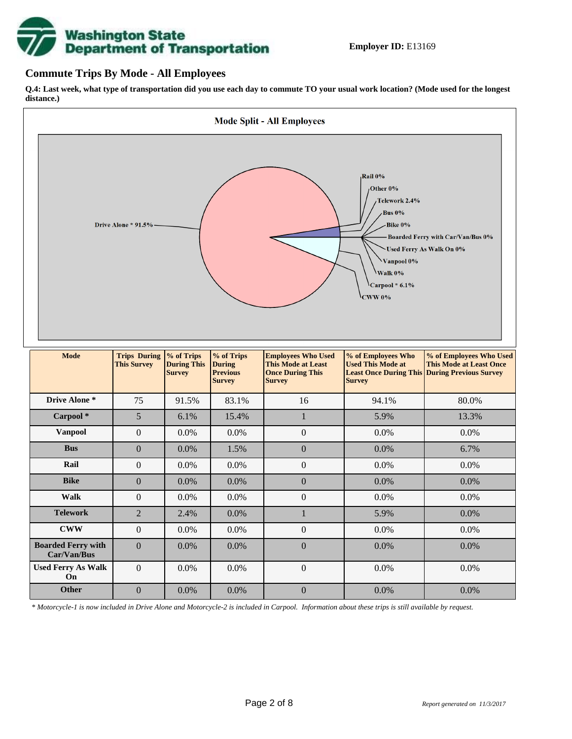# **Washington State<br>Department of Transportation**

## **Commute Trips By Mode - All Employees**

**Q.4: Last week, what type of transportation did you use each day to commute TO your usual work location? (Mode used for the longest distance.)**



*\* Motorcycle-1 is now included in Drive Alone and Motorcycle-2 is included in Carpool. Information about these trips is still available by request.*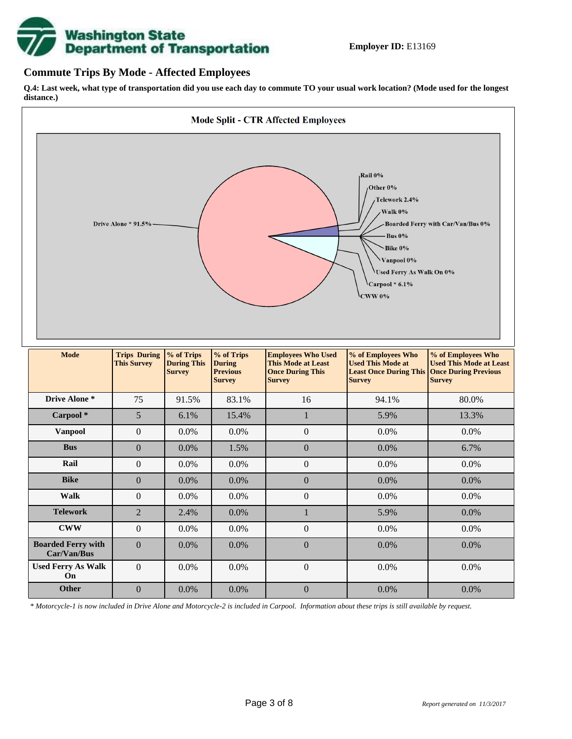

## **Commute Trips By Mode - Affected Employees**

**Q.4: Last week, what type of transportation did you use each day to commute TO your usual work location? (Mode used for the longest distance.)**



*\* Motorcycle-1 is now included in Drive Alone and Motorcycle-2 is included in Carpool. Information about these trips is still available by request.*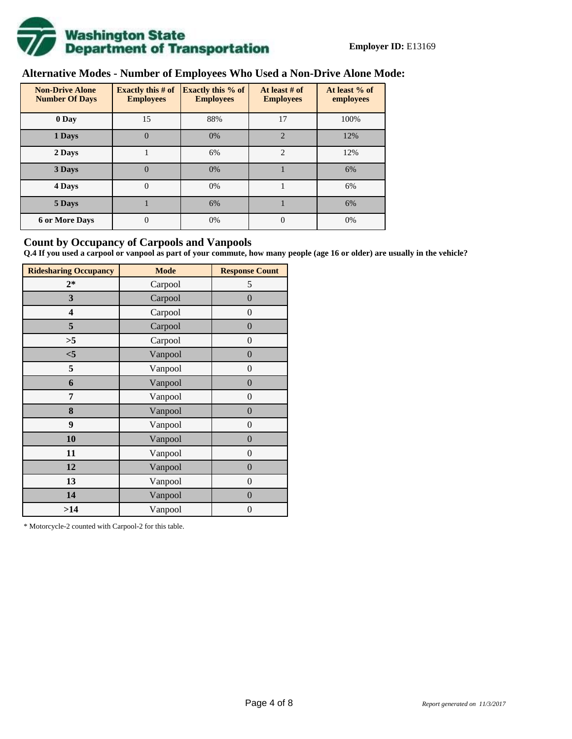

# **Alternative Modes - Number of Employees Who Used a Non-Drive Alone Mode:**

| <b>Non-Drive Alone</b><br><b>Number Of Days</b> | <b>Exactly this # of</b><br><b>Employees</b> | <b>Exactly this % of</b><br><b>Employees</b> | At least # of<br><b>Employees</b> | At least % of<br>employees |
|-------------------------------------------------|----------------------------------------------|----------------------------------------------|-----------------------------------|----------------------------|
| 0 Day                                           | 15                                           | 88%                                          | 17                                | 100%                       |
| 1 Days                                          | $\overline{0}$                               | 0%                                           | $\overline{2}$                    | 12%                        |
| 2 Days                                          |                                              | 6%                                           | $\overline{2}$                    | 12%                        |
| 3 Days                                          | $\theta$                                     | 0%                                           |                                   | 6%                         |
| 4 Days                                          | $\theta$                                     | 0%                                           |                                   | 6%                         |
| 5 Days                                          |                                              | 6%                                           |                                   | 6%                         |
| <b>6 or More Days</b>                           | 0                                            | 0%                                           | $\Omega$                          | 0%                         |

## **Count by Occupancy of Carpools and Vanpools**

**Q.4 If you used a carpool or vanpool as part of your commute, how many people (age 16 or older) are usually in the vehicle?**

| <b>Ridesharing Occupancy</b> | <b>Mode</b> | <b>Response Count</b> |
|------------------------------|-------------|-----------------------|
| $2*$                         | Carpool     | 5                     |
| 3                            | Carpool     | $\boldsymbol{0}$      |
| 4                            | Carpool     | $\boldsymbol{0}$      |
| 5                            | Carpool     | $\boldsymbol{0}$      |
| >5                           | Carpool     | $\overline{0}$        |
| $<$ 5                        | Vanpool     | $\overline{0}$        |
| 5                            | Vanpool     | $\overline{0}$        |
| 6                            | Vanpool     | $\boldsymbol{0}$      |
| 7                            | Vanpool     | $\overline{0}$        |
| 8                            | Vanpool     | $\boldsymbol{0}$      |
| 9                            | Vanpool     | $\overline{0}$        |
| 10                           | Vanpool     | $\overline{0}$        |
| 11                           | Vanpool     | $\boldsymbol{0}$      |
| 12                           | Vanpool     | $\boldsymbol{0}$      |
| 13                           | Vanpool     | $\boldsymbol{0}$      |
| 14                           | Vanpool     | $\overline{0}$        |
| >14                          | Vanpool     | $\boldsymbol{0}$      |

\* Motorcycle-2 counted with Carpool-2 for this table.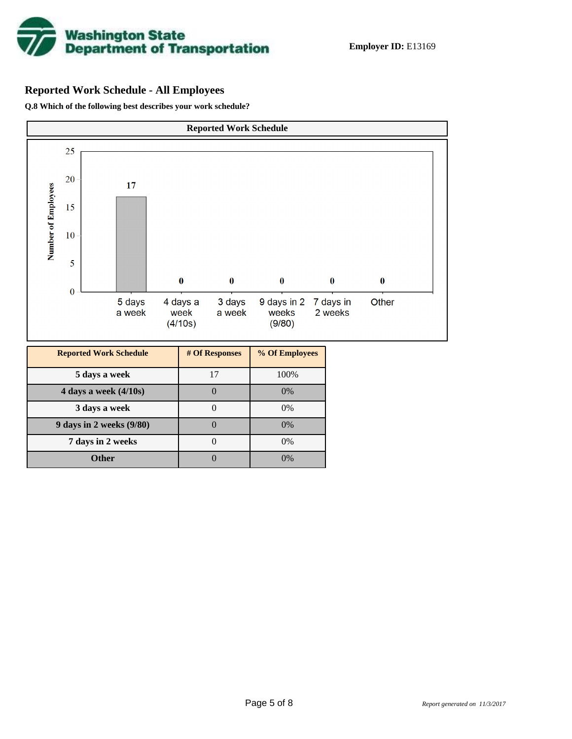

# **Reported Work Schedule - All Employees**

**Q.8 Which of the following best describes your work schedule?**

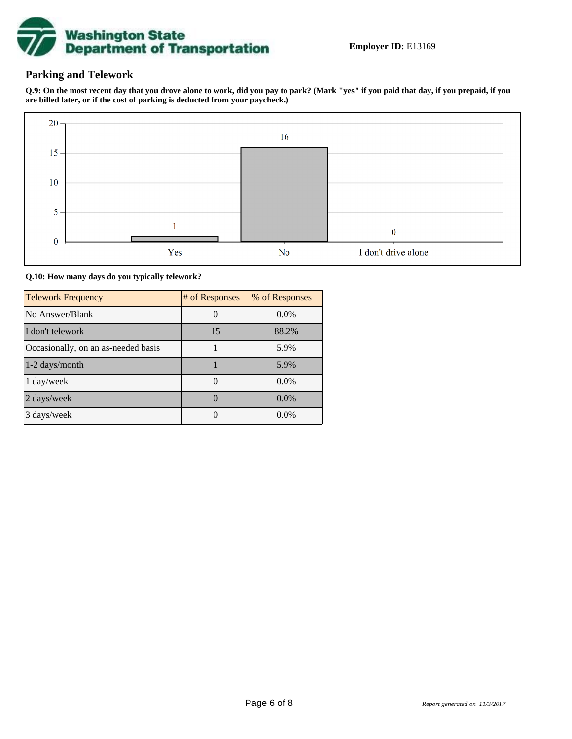

## **Parking and Telework**

**Q.9: On the most recent day that you drove alone to work, did you pay to park? (Mark "yes" if you paid that day, if you prepaid, if you are billed later, or if the cost of parking is deducted from your paycheck.)**



**Q.10: How many days do you typically telework?**

| <b>Telework Frequency</b>           | # of Responses | % of Responses |
|-------------------------------------|----------------|----------------|
| No Answer/Blank                     |                | $0.0\%$        |
| I don't telework                    | 15             | 88.2%          |
| Occasionally, on an as-needed basis |                | 5.9%           |
| 1-2 days/month                      |                | 5.9%           |
| 1 day/week                          |                | 0.0%           |
| 2 days/week                         |                | $0.0\%$        |
| 3 days/week                         |                | $0.0\%$        |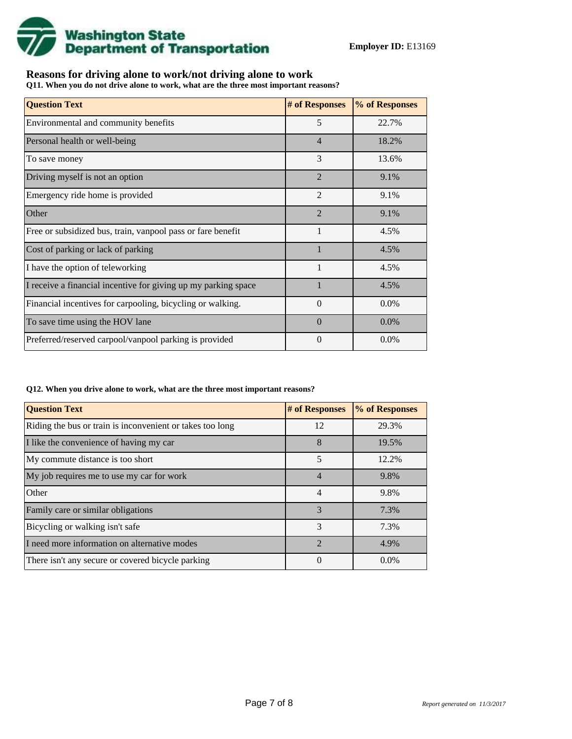

## **Reasons for driving alone to work/not driving alone to work**

**Q11. When you do not drive alone to work, what are the three most important reasons?**

| <b>Question Text</b>                                           | # of Responses | % of Responses |
|----------------------------------------------------------------|----------------|----------------|
| Environmental and community benefits                           | 5              | 22.7%          |
| Personal health or well-being                                  | $\overline{4}$ | 18.2%          |
| To save money                                                  | 3              | 13.6%          |
| Driving myself is not an option                                | $\overline{2}$ | 9.1%           |
| Emergency ride home is provided                                | $\overline{2}$ | 9.1%           |
| Other                                                          | $\overline{2}$ | 9.1%           |
| Free or subsidized bus, train, vanpool pass or fare benefit    | 1              | 4.5%           |
| Cost of parking or lack of parking                             | $\mathbf{1}$   | 4.5%           |
| I have the option of teleworking                               | $\mathbf{1}$   | 4.5%           |
| I receive a financial incentive for giving up my parking space |                | 4.5%           |
| Financial incentives for carpooling, bicycling or walking.     | $\theta$       | 0.0%           |
| To save time using the HOV lane                                | $\Omega$       | 0.0%           |
| Preferred/reserved carpool/vanpool parking is provided         | 0              | $0.0\%$        |

#### **Q12. When you drive alone to work, what are the three most important reasons?**

| <b>Question Text</b>                                      | # of Responses | % of Responses |
|-----------------------------------------------------------|----------------|----------------|
| Riding the bus or train is inconvenient or takes too long | 12             | 29.3%          |
| I like the convenience of having my car                   | 8              | 19.5%          |
| My commute distance is too short                          | 5              | 12.2%          |
| My job requires me to use my car for work                 | $\overline{4}$ | 9.8%           |
| Other                                                     | $\overline{4}$ | 9.8%           |
| Family care or similar obligations                        | $\mathcal{R}$  | 7.3%           |
| Bicycling or walking isn't safe                           | 3              | 7.3%           |
| I need more information on alternative modes              | $\mathcal{D}$  | 4.9%           |
| There isn't any secure or covered bicycle parking         | $\Omega$       | $0.0\%$        |